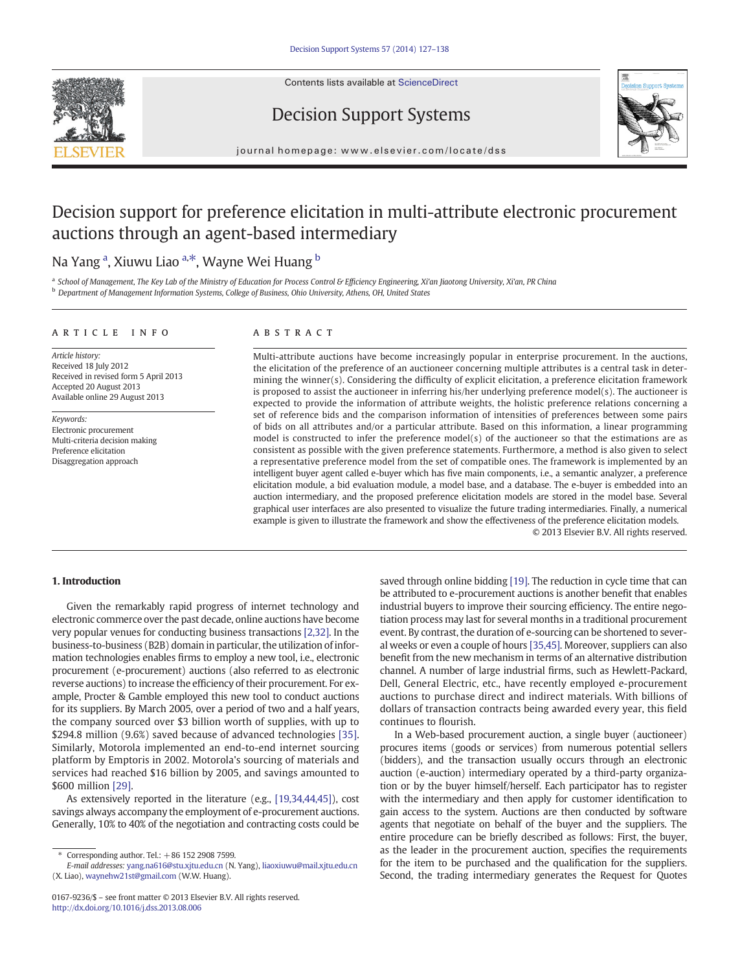Contents lists available at [ScienceDirect](http://www.sciencedirect.com/science/journal/01679236)







journal homepage: www.elsevier.com/locate/dss

## Decision support for preference elicitation in multi-attribute electronic procurement auctions through an agent-based intermediary

## Na Yang <sup>a</sup>, Xiuwu Liao <sup>a,\*</sup>, Wayne Wei Huang <sup>b</sup>

a School of Management, The Key Lab of the Ministry of Education for Process Control & Efficiency Engineering, Xi'an Jiaotong University, Xi'an, PR China <sup>b</sup> Department of Management Information Systems, College of Business, Ohio University, Athens, OH, United States

### article info abstract

Article history: Received 18 July 2012 Received in revised form 5 April 2013 Accepted 20 August 2013 Available online 29 August 2013

Keywords: Electronic procurement Multi-criteria decision making Preference elicitation Disaggregation approach

Multi-attribute auctions have become increasingly popular in enterprise procurement. In the auctions, the elicitation of the preference of an auctioneer concerning multiple attributes is a central task in determining the winner(s). Considering the difficulty of explicit elicitation, a preference elicitation framework is proposed to assist the auctioneer in inferring his/her underlying preference model(s). The auctioneer is expected to provide the information of attribute weights, the holistic preference relations concerning a set of reference bids and the comparison information of intensities of preferences between some pairs of bids on all attributes and/or a particular attribute. Based on this information, a linear programming model is constructed to infer the preference model(s) of the auctioneer so that the estimations are as consistent as possible with the given preference statements. Furthermore, a method is also given to select a representative preference model from the set of compatible ones. The framework is implemented by an intelligent buyer agent called e-buyer which has five main components, i.e., a semantic analyzer, a preference elicitation module, a bid evaluation module, a model base, and a database. The e-buyer is embedded into an auction intermediary, and the proposed preference elicitation models are stored in the model base. Several graphical user interfaces are also presented to visualize the future trading intermediaries. Finally, a numerical example is given to illustrate the framework and show the effectiveness of the preference elicitation models.

© 2013 Elsevier B.V. All rights reserved.

### 1. Introduction

Given the remarkably rapid progress of internet technology and electronic commerce over the past decade, online auctions have become very popular venues for conducting business transactions [\[2,32\].](#page--1-0) In the business-to-business (B2B) domain in particular, the utilization of information technologies enables firms to employ a new tool, i.e., electronic procurement (e-procurement) auctions (also referred to as electronic reverse auctions) to increase the efficiency of their procurement. For example, Procter & Gamble employed this new tool to conduct auctions for its suppliers. By March 2005, over a period of two and a half years, the company sourced over \$3 billion worth of supplies, with up to \$294.8 million (9.6%) saved because of advanced technologies [\[35\].](#page--1-0) Similarly, Motorola implemented an end-to-end internet sourcing platform by Emptoris in 2002. Motorola's sourcing of materials and services had reached \$16 billion by 2005, and savings amounted to \$600 million [\[29\]](#page--1-0).

As extensively reported in the literature (e.g., [\[19,34,44,45\]\)](#page--1-0), cost savings always accompany the employment of e-procurement auctions. Generally, 10% to 40% of the negotiation and contracting costs could be

saved through online bidding [\[19\].](#page--1-0) The reduction in cycle time that can be attributed to e-procurement auctions is another benefit that enables industrial buyers to improve their sourcing efficiency. The entire negotiation process may last for several months in a traditional procurement event. By contrast, the duration of e-sourcing can be shortened to several weeks or even a couple of hours [\[35,45\].](#page--1-0) Moreover, suppliers can also benefit from the new mechanism in terms of an alternative distribution channel. A number of large industrial firms, such as Hewlett-Packard, Dell, General Electric, etc., have recently employed e-procurement auctions to purchase direct and indirect materials. With billions of dollars of transaction contracts being awarded every year, this field continues to flourish.

In a Web-based procurement auction, a single buyer (auctioneer) procures items (goods or services) from numerous potential sellers (bidders), and the transaction usually occurs through an electronic auction (e-auction) intermediary operated by a third-party organization or by the buyer himself/herself. Each participator has to register with the intermediary and then apply for customer identification to gain access to the system. Auctions are then conducted by software agents that negotiate on behalf of the buyer and the suppliers. The entire procedure can be briefly described as follows: First, the buyer, as the leader in the procurement auction, specifies the requirements for the item to be purchased and the qualification for the suppliers. Second, the trading intermediary generates the Request for Quotes

Corresponding author. Tel.: +86 152 2908 7599.

E-mail addresses: [yang.na616@stu.xjtu.edu.cn](mailto:yang.na616@stu.xjtu.edu.cn) (N. Yang), [liaoxiuwu@mail.xjtu.edu.cn](mailto:liaoxiuwu@mail.xjtu.edu.cn) (X. Liao), [waynehw21st@gmail.com](mailto:waynehw21st@gmail.com) (W.W. Huang).

<sup>0167-9236/\$</sup> – see front matter © 2013 Elsevier B.V. All rights reserved. <http://dx.doi.org/10.1016/j.dss.2013.08.006>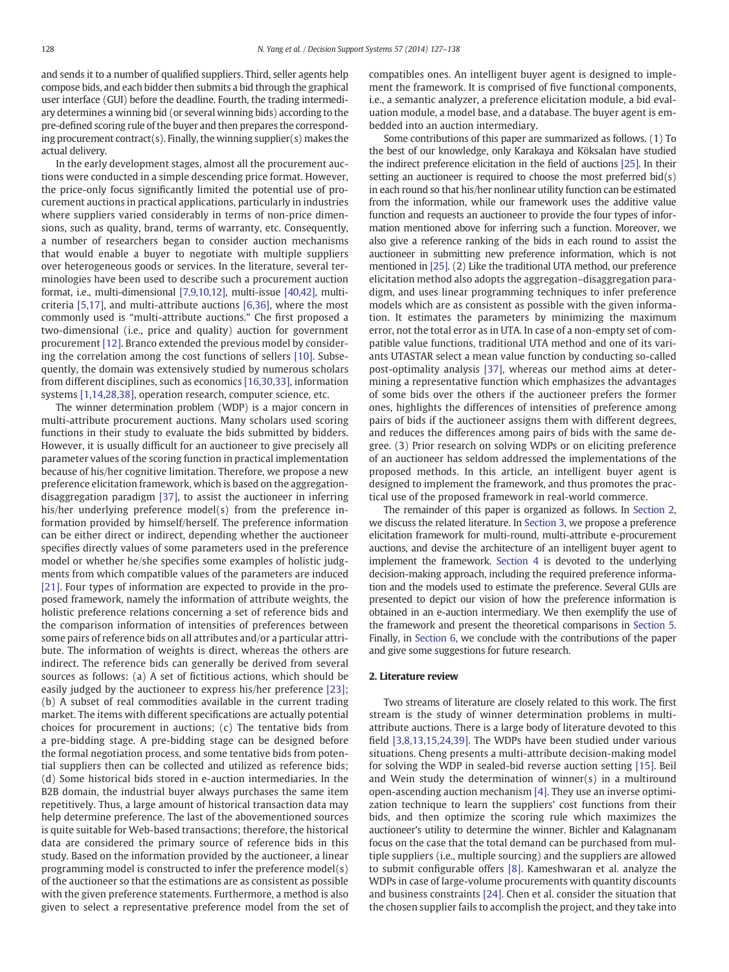and sends it to a number of qualified suppliers. Third, seller agents help compose bids, and each bidder then submits a bid through the graphical user interface (GUI) before the deadline. Fourth, the trading intermediary determines a winning bid (or several winning bids) according to the pre-defined scoring rule of the buyer and then prepares the corresponding procurement contract(s). Finally, the winning supplier(s) makes the actual delivery.

In the early development stages, almost all the procurement auctions were conducted in a simple descending price format. However, the price-only focus significantly limited the potential use of procurement auctions in practical applications, particularly in industries where suppliers varied considerably in terms of non-price dimensions, such as quality, brand, terms of warranty, etc. Consequently, a number of researchers began to consider auction mechanisms that would enable a buyer to negotiate with multiple suppliers over heterogeneous goods or services. In the literature, several terminologies have been used to describe such a procurement auction format, i.e., multi-dimensional [\[7,9,10,12\]](#page--1-0), multi-issue [\[40,42\]](#page--1-0), multicriteria [\[5,17\],](#page--1-0) and multi-attribute auctions [\[6,36\]](#page--1-0), where the most commonly used is "multi-attribute auctions." Che first proposed a two-dimensional (i.e., price and quality) auction for government procurement [\[12\].](#page--1-0) Branco extended the previous model by considering the correlation among the cost functions of sellers [\[10\]](#page--1-0). Subsequently, the domain was extensively studied by numerous scholars from different disciplines, such as economics [\[16,30,33\]](#page--1-0), information systems [\[1,14,28,38\],](#page--1-0) operation research, computer science, etc.

The winner determination problem (WDP) is a major concern in multi-attribute procurement auctions. Many scholars used scoring functions in their study to evaluate the bids submitted by bidders. However, it is usually difficult for an auctioneer to give precisely all parameter values of the scoring function in practical implementation because of his/her cognitive limitation. Therefore, we propose a new preference elicitation framework, which is based on the aggregationdisaggregation paradigm [\[37\]](#page--1-0), to assist the auctioneer in inferring his/her underlying preference model(s) from the preference information provided by himself/herself. The preference information can be either direct or indirect, depending whether the auctioneer specifies directly values of some parameters used in the preference model or whether he/she specifies some examples of holistic judgments from which compatible values of the parameters are induced [\[21\].](#page--1-0) Four types of information are expected to provide in the proposed framework, namely the information of attribute weights, the holistic preference relations concerning a set of reference bids and the comparison information of intensities of preferences between some pairs of reference bids on all attributes and/or a particular attribute. The information of weights is direct, whereas the others are indirect. The reference bids can generally be derived from several sources as follows: (a) A set of fictitious actions, which should be easily judged by the auctioneer to express his/her preference [\[23\]](#page--1-0); (b) A subset of real commodities available in the current trading market. The items with different specifications are actually potential choices for procurement in auctions; (c) The tentative bids from a pre-bidding stage. A pre-bidding stage can be designed before the formal negotiation process, and some tentative bids from potential suppliers then can be collected and utilized as reference bids; (d) Some historical bids stored in e-auction intermediaries. In the B2B domain, the industrial buyer always purchases the same item repetitively. Thus, a large amount of historical transaction data may help determine preference. The last of the abovementioned sources is quite suitable for Web-based transactions; therefore, the historical data are considered the primary source of reference bids in this study. Based on the information provided by the auctioneer, a linear programming model is constructed to infer the preference model(s) of the auctioneer so that the estimations are as consistent as possible with the given preference statements. Furthermore, a method is also given to select a representative preference model from the set of compatibles ones. An intelligent buyer agent is designed to implement the framework. It is comprised of five functional components, i.e., a semantic analyzer, a preference elicitation module, a bid evaluation module, a model base, and a database. The buyer agent is embedded into an auction intermediary.

Some contributions of this paper are summarized as follows. (1) To the best of our knowledge, only Karakaya and Köksalan have studied the indirect preference elicitation in the field of auctions [\[25\].](#page--1-0) In their setting an auctioneer is required to choose the most preferred bid(s) in each round so that his/her nonlinear utility function can be estimated from the information, while our framework uses the additive value function and requests an auctioneer to provide the four types of information mentioned above for inferring such a function. Moreover, we also give a reference ranking of the bids in each round to assist the auctioneer in submitting new preference information, which is not mentioned in [\[25\].](#page--1-0) (2) Like the traditional UTA method, our preference elicitation method also adopts the aggregation–disaggregation paradigm, and uses linear programming techniques to infer preference models which are as consistent as possible with the given information. It estimates the parameters by minimizing the maximum error, not the total error as in UTA. In case of a non-empty set of compatible value functions, traditional UTA method and one of its variants UTASTAR select a mean value function by conducting so-called post-optimality analysis [\[37\],](#page--1-0) whereas our method aims at determining a representative function which emphasizes the advantages of some bids over the others if the auctioneer prefers the former ones, highlights the differences of intensities of preference among pairs of bids if the auctioneer assigns them with different degrees, and reduces the differences among pairs of bids with the same degree. (3) Prior research on solving WDPs or on eliciting preference of an auctioneer has seldom addressed the implementations of the proposed methods. In this article, an intelligent buyer agent is designed to implement the framework, and thus promotes the practical use of the proposed framework in real-world commerce.

The remainder of this paper is organized as follows. In Section 2, we discuss the related literature. In [Section 3](#page--1-0), we propose a preference elicitation framework for multi-round, multi-attribute e-procurement auctions, and devise the architecture of an intelligent buyer agent to implement the framework. [Section 4](#page--1-0) is devoted to the underlying decision-making approach, including the required preference information and the models used to estimate the preference. Several GUIs are presented to depict our vision of how the preference information is obtained in an e-auction intermediary. We then exemplify the use of the framework and present the theoretical comparisons in [Section 5.](#page--1-0) Finally, in [Section 6](#page--1-0), we conclude with the contributions of the paper and give some suggestions for future research.

### 2. Literature review

Two streams of literature are closely related to this work. The first stream is the study of winner determination problems in multiattribute auctions. There is a large body of literature devoted to this field [\[3,8,13,15,24,39\].](#page--1-0) The WDPs have been studied under various situations. Cheng presents a multi-attribute decision-making model for solving the WDP in sealed-bid reverse auction setting [\[15\]](#page--1-0). Beil and Wein study the determination of winner(s) in a multiround open-ascending auction mechanism [\[4\]](#page--1-0). They use an inverse optimization technique to learn the suppliers' cost functions from their bids, and then optimize the scoring rule which maximizes the auctioneer's utility to determine the winner. Bichler and Kalagnanam focus on the case that the total demand can be purchased from multiple suppliers (i.e., multiple sourcing) and the suppliers are allowed to submit configurable offers [\[8\].](#page--1-0) Kameshwaran et al. analyze the WDPs in case of large-volume procurements with quantity discounts and business constraints [\[24\].](#page--1-0) Chen et al. consider the situation that the chosen supplier fails to accomplish the project, and they take into